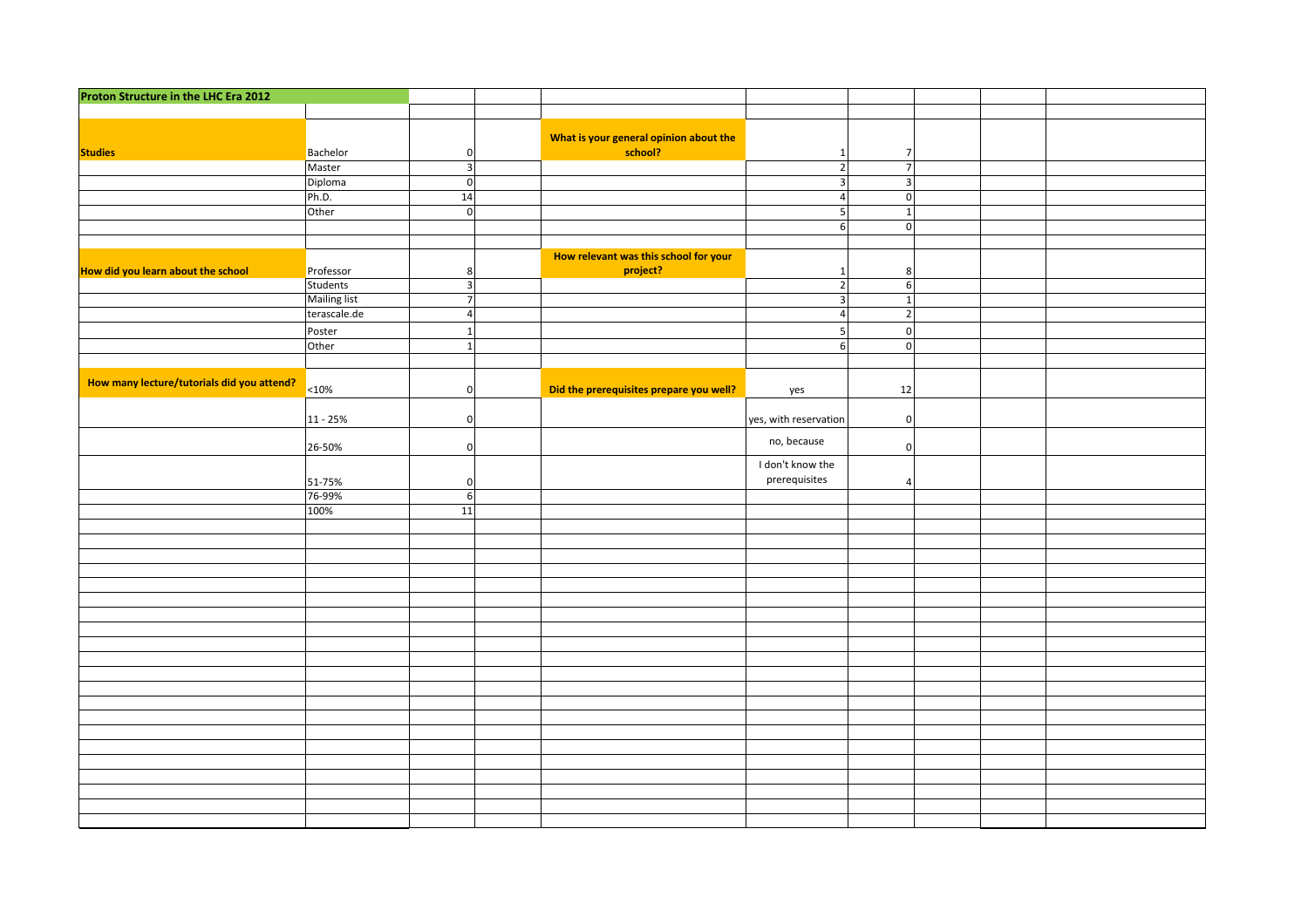| Proton Structure in the LHC Era 2012       |                     |                         |                                         |                         |                  |  |  |
|--------------------------------------------|---------------------|-------------------------|-----------------------------------------|-------------------------|------------------|--|--|
|                                            |                     |                         |                                         |                         |                  |  |  |
|                                            |                     |                         | What is your general opinion about the  |                         |                  |  |  |
| <b>Studies</b>                             | Bachelor            | $\pmb{0}$               | school?                                 | $\mathbf{1}$            | $\overline{7}$   |  |  |
|                                            | Master              | $\overline{\mathbf{3}}$ |                                         | $\overline{2}$          | $\overline{7}$   |  |  |
|                                            | Diploma             | $\overline{\mathbf{0}}$ |                                         | $\overline{\mathbf{3}}$ | $\overline{3}$   |  |  |
|                                            | Ph.D.               | 14                      |                                         | $\overline{4}$          | $\mathbf 0$      |  |  |
|                                            | Other               | $\mathbf 0$             |                                         | 5                       | $\overline{1}$   |  |  |
|                                            |                     |                         |                                         | $\,6\,$                 | $\mathbf 0$      |  |  |
|                                            |                     |                         |                                         |                         |                  |  |  |
|                                            |                     |                         | How relevant was this school for your   |                         |                  |  |  |
| How did you learn about the school         | Professor           | 8 <sup>1</sup>          | project?                                | $\mathbf{1}$            | 8 <sup>1</sup>   |  |  |
|                                            | Students            | $\overline{3}$          |                                         | $\overline{2}$          | $6 \overline{6}$ |  |  |
|                                            | <b>Mailing list</b> | $\overline{7}$          |                                         | $\mathbf{3}$            | $\mathbf{1}$     |  |  |
|                                            | terascale.de        | $\overline{4}$          |                                         | $\overline{4}$          | $\overline{2}$   |  |  |
|                                            | Poster              | $\mathbf{1}$            |                                         | 5                       | $\mathbf 0$      |  |  |
|                                            | Other               | $\mathbf{1}$            |                                         | $\sqrt{6}$              | $\mathbf 0$      |  |  |
|                                            |                     |                         |                                         |                         |                  |  |  |
| How many lecture/tutorials did you attend? | $ 10\%$             | $\mathbf 0$             | Did the prerequisites prepare you well? | yes                     | 12               |  |  |
|                                            | 11 - 25%            | $\mathbf 0$             | yes, with reservation<br>$\mathbf{0}$   |                         |                  |  |  |
|                                            | 26-50%              | $\boldsymbol{0}$        |                                         | $\mathbf{0}$            |                  |  |  |
|                                            | 51-75%              | $\mathbf 0$             |                                         | $\overline{4}$          |                  |  |  |
|                                            | 76-99%              | $\sqrt{6}$              |                                         |                         |                  |  |  |
|                                            | 100%                | 11                      |                                         |                         |                  |  |  |
|                                            |                     |                         |                                         |                         |                  |  |  |
|                                            |                     |                         |                                         |                         |                  |  |  |
|                                            |                     |                         |                                         |                         |                  |  |  |
|                                            |                     |                         |                                         |                         |                  |  |  |
|                                            |                     |                         |                                         |                         |                  |  |  |
|                                            |                     |                         |                                         |                         |                  |  |  |
|                                            |                     |                         |                                         |                         |                  |  |  |
|                                            |                     |                         |                                         |                         |                  |  |  |
|                                            |                     |                         |                                         |                         |                  |  |  |
|                                            |                     |                         |                                         |                         |                  |  |  |
|                                            |                     |                         |                                         |                         |                  |  |  |
|                                            |                     |                         |                                         |                         |                  |  |  |
|                                            |                     |                         |                                         |                         |                  |  |  |
|                                            |                     |                         |                                         |                         |                  |  |  |
|                                            |                     |                         |                                         |                         |                  |  |  |
|                                            |                     |                         |                                         |                         |                  |  |  |
|                                            |                     |                         |                                         |                         |                  |  |  |
|                                            |                     |                         |                                         |                         |                  |  |  |
|                                            |                     |                         |                                         |                         |                  |  |  |
|                                            |                     |                         |                                         |                         |                  |  |  |
|                                            |                     |                         |                                         |                         |                  |  |  |
|                                            |                     |                         |                                         |                         |                  |  |  |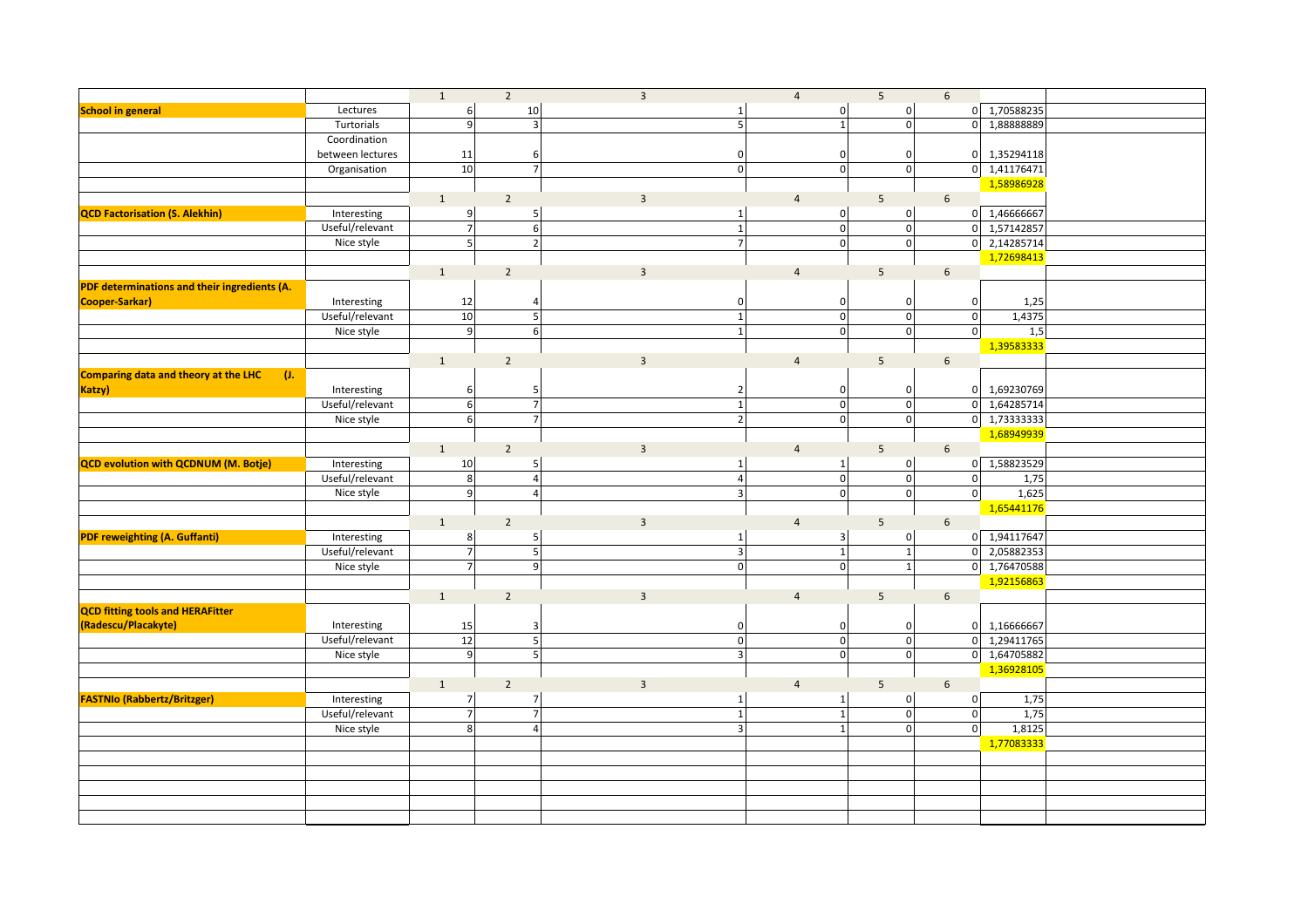|                                              |                  | $\mathbf{1}$     | $\overline{2}$          | $\overline{3}$          |                     | $\overline{4}$ | 5 <sup>5</sup>            |                                         | $6\phantom{1}$  |                            |  |
|----------------------------------------------|------------------|------------------|-------------------------|-------------------------|---------------------|----------------|---------------------------|-----------------------------------------|-----------------|----------------------------|--|
| <b>School in general</b>                     | Lectures         | $6\vert$         | 10                      |                         | $1\vert$            |                | 0                         | 0                                       |                 | 0 1,70588235               |  |
|                                              | Turtorials       | $\overline{9}$   | $\vert$ 3               |                         | $\mathsf{S}$        |                | $\overline{1}$            | $\overline{0}$                          |                 | 0 1,88888889               |  |
|                                              | Coordination     |                  |                         |                         |                     |                |                           |                                         |                 |                            |  |
|                                              | between lectures | 11               | $6 \mid$                |                         | $\mathbf 0$         |                | $\mathbf 0$               | $\pmb{0}$                               |                 | 0 1,35294118               |  |
|                                              | Organisation     | 10               | 7 <sup>1</sup>          |                         | $\Omega$            |                | 0                         | $\overline{\mathbf{0}}$                 |                 | $0$ 1,41176471             |  |
|                                              |                  |                  |                         |                         |                     |                |                           |                                         |                 | 1,58986928                 |  |
|                                              |                  | $\mathbf{1}$     | $\overline{2}$          | $\overline{3}$          |                     | $\overline{4}$ | $5\overline{)}$           |                                         | $6\overline{6}$ |                            |  |
| <b>QCD Factorisation (S. Alekhin)</b>        | Interesting      | 9                | 5 <sup>1</sup>          |                         | $\mathbf{1}$        |                | $\overline{0}$            | $\mathbf 0$                             |                 | 0 1,46666667               |  |
|                                              | Useful/relevant  | 키                | $6 \mid$                |                         | $1\vert$            |                | $\overline{0}$            | $\overline{\text{o}}$                   |                 | 0 1,57142857               |  |
|                                              | Nice style       | $\overline{5}$   | $2 \overline{ }$        |                         | 7 <sup>1</sup>      |                | 0                         | $\mathbf 0$                             |                 | 0 2,14285714               |  |
|                                              |                  |                  |                         |                         |                     |                |                           |                                         |                 | 1,72698413                 |  |
|                                              |                  | $\mathbf 1$      | $\overline{2}$          | $\overline{3}$          |                     | $\overline{4}$ | $5\phantom{.0}$           |                                         | $6\phantom{1}6$ |                            |  |
| PDF determinations and their ingredients (A. |                  |                  |                         |                         |                     |                |                           |                                         |                 |                            |  |
| Cooper-Sarkar)                               | Interesting      | 12               | $\overline{4}$          |                         | $\mathbf 0$         |                | $\mathbf 0$               | 0                                       | $\mathbf{0}$    | 1,25                       |  |
|                                              | Useful/relevant  | 10               | 5 <sup>1</sup>          |                         | $1\vert$            |                | 0                         | $\pmb{0}$                               | 0               | 1,4375                     |  |
|                                              | Nice style       | 9                | $6 \overline{6}$        |                         | $1\vert$            |                | 0                         | $\mathsf 0$                             | $\overline{0}$  | 1,5                        |  |
|                                              |                  |                  |                         |                         |                     |                |                           |                                         |                 | 1,39583333                 |  |
|                                              |                  | $\mathbf{1}$     | $\overline{2}$          | $\overline{3}$          |                     | $\overline{4}$ | $5\phantom{.0}$           |                                         | $\sqrt{6}$      |                            |  |
| Comparing data and theory at the LHC         |                  |                  |                         |                         |                     |                |                           |                                         |                 |                            |  |
| (1,<br>Katzy)                                | Interesting      |                  |                         |                         |                     |                |                           |                                         |                 |                            |  |
|                                              |                  | 6<br>6           | $5\phantom{.0}$<br>7    |                         | $\overline{2}$<br>1 |                | $\mathbf 0$               | $\pmb{0}$                               |                 | 0 1,69230769               |  |
|                                              | Useful/relevant  | 6                | 7                       |                         |                     |                | $\circ$<br>$\overline{0}$ | $\mathsf{o}$<br>$\overline{\mathbf{0}}$ |                 | 0 1,64285714               |  |
|                                              | Nice style       |                  |                         |                         | $\overline{2}$      |                |                           |                                         |                 | $0\overline{)1,73333333}$  |  |
|                                              |                  |                  |                         |                         |                     |                |                           |                                         |                 | 1,68949939                 |  |
|                                              |                  | $\mathbf{1}$     | $\overline{2}$          | $\overline{3}$          |                     | $\overline{4}$ | $5\overline{)}$           |                                         | $6\phantom{1}6$ |                            |  |
| QCD evolution with QCDNUM (M. Botje)         | Interesting      | 10               | 5 <sub>l</sub>          |                         | $1\vert$            |                | 1                         | $\mathbf 0$                             |                 | 0 1,58823529               |  |
|                                              | Useful/relevant  | $\boldsymbol{8}$ | $\overline{4}$          |                         | $\vert$             |                | $\overline{0}$            | $\pmb{0}$                               | $\overline{0}$  | 1,75                       |  |
|                                              | Nice style       | $\overline{9}$   | $\overline{4}$          |                         | $\vert$ 3           |                | 0                         | $\mathbf 0$                             | $\mathbf{0}$    | 1,625                      |  |
|                                              |                  |                  |                         |                         |                     |                |                           |                                         |                 | 1,65441176                 |  |
|                                              |                  | $\mathbf{1}$     | $\overline{2}$          | $\mathbf{3}$            |                     | $\overline{4}$ | 5                         |                                         | $6\phantom{1}6$ |                            |  |
| <b>PDF reweighting (A. Guffanti)</b>         | Interesting      | 8 <sup>1</sup>   | 5                       |                         | $1\vert$            |                | 3                         | 0                                       |                 | 0 1,94117647               |  |
|                                              | Useful/relevant  | 키                | 5 <sub>l</sub>          |                         | $\vert$ 3           |                | $\overline{1}$            | $\mathbf 1$                             | 0               | 2,05882353                 |  |
|                                              | Nice style       | 키                | 9                       |                         | $\overline{0}$      |                | 0                         | $\mathbf{1}$                            |                 | 0 1,76470588               |  |
|                                              |                  |                  |                         |                         |                     |                |                           |                                         |                 | 1,92156863                 |  |
|                                              |                  | $\mathbf{1}$     | $\overline{2}$          | $\overline{3}$          |                     | $\overline{4}$ | $5\phantom{.0}$           |                                         | $\sqrt{6}$      |                            |  |
| <b>QCD fitting tools and HERAFitter</b>      |                  |                  |                         |                         |                     |                |                           |                                         |                 |                            |  |
| (Radescu/Placakyte)                          | Interesting      | 15               | $\overline{\mathbf{3}}$ |                         | 0                   |                | $\mathbf 0$               | $\pmb{0}$                               |                 | 0 1,16666667               |  |
|                                              | Useful/relevant  | 12               | 5                       |                         | 0                   |                | $\overline{0}$            | $\pmb{\mathsf{0}}$                      |                 | $0 \overline{)1,29411765}$ |  |
|                                              | Nice style       | 9                | 5 <sup>1</sup>          |                         | $\vert$ 3           |                | 0                         | $\mathfrak o$                           |                 | 0 1,64705882               |  |
|                                              |                  |                  |                         |                         |                     |                |                           |                                         |                 | 1,36928105                 |  |
|                                              |                  | $\mathbf{1}$     | $\overline{2}$          | $\overline{\mathbf{3}}$ |                     | $\overline{4}$ | $5\phantom{.0}$           |                                         | $\sqrt{6}$      |                            |  |
| <b>FASTNIo (Rabbertz/Britzger)</b>           | Interesting      | $\overline{z}$   | 7                       |                         | $1\vert$            |                | $\mathbf{1}$              | $\pmb{0}$                               | $\mathbf{0}$    | 1,75                       |  |
|                                              | Useful/relevant  | $\overline{z}$   | $\overline{7}$          |                         | 1                   |                | $\mathbf{1}$              | $\mathbf 0$                             | 0               | 1,75                       |  |
|                                              | Nice style       | 8 <sup>1</sup>   | $\overline{4}$          |                         | 3 <sup>1</sup>      |                | $\mathbf{1}$              | $\mathbf 0$                             | $\overline{0}$  | 1,8125                     |  |
|                                              |                  |                  |                         |                         |                     |                |                           |                                         |                 | 1,77083333                 |  |
|                                              |                  |                  |                         |                         |                     |                |                           |                                         |                 |                            |  |
|                                              |                  |                  |                         |                         |                     |                |                           |                                         |                 |                            |  |
|                                              |                  |                  |                         |                         |                     |                |                           |                                         |                 |                            |  |
|                                              |                  |                  |                         |                         |                     |                |                           |                                         |                 |                            |  |
|                                              |                  |                  |                         |                         |                     |                |                           |                                         |                 |                            |  |